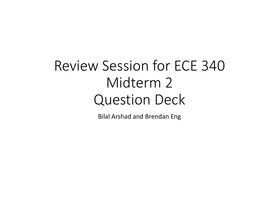# Review Session for ECE 340 Midterm 2 Question Deck

Bilal Arshad and Brendan Eng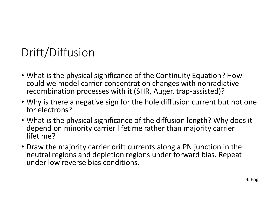# Drift/Diffusion

- What is the physical significance of the Continuity Equation? How could we model carrier concentration changes with nonradiative recombination processes with it (SHR, Auger, trap-assisted)?
- Why is there a negative sign for the hole diffusion current but not one for electrons?
- What is the physical significance of the diffusion length? Why does it depend on minority carrier lifetime rather than majority carrier lifetime?
- Draw the majority carrier drift currents along a PN junction in the neutral regions and depletion regions under forward bias. Repeat under low reverse bias conditions.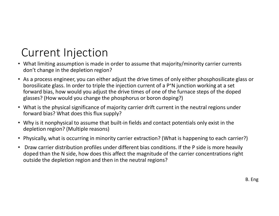# Current Injection

- What limiting assumption is made in order to assume that majority/minority carrier currents don't change in the depletion region?
- **CUITENT INJECTION**<br>• What limiting assumption is made in order to assume that majority/minority carrier currents<br>don't change in the depletion region?<br>• As a process engineer, you can either adjust the drive times of onl borosilicate glass. In order to triple the injection current of a P+N junction working at a set forward bias, how would you adjust the drive times of one of the furnace steps of the doped glasses? (How would you change the phosphorus or boron doping?)
- What is the physical significance of majority carrier drift current in the neutral regions under forward bias? What does this flux supply?
- Why is it nonphysical to assume that built-in fields and contact potentials only exist in the depletion region? (Multiple reasons)
- Physically, what is occurring in minority carrier extraction? (What is happening to each carrier?)
- Draw carrier distribution profiles under different bias conditions. If the P side is more heavily doped than the N side, how does this affect the magnitude of the carrier concentrations right outside the depletion region and then in the neutral regions?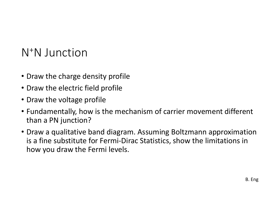#### N+N Junction

- Draw the charge density profile
- Draw the electric field profile
- Draw the voltage profile
- Fundamentally, how is the mechanism of carrier movement different than a PN junction?
- Draw a qualitative band diagram. Assuming Boltzmann approximation is a fine substitute for Fermi-Dirac Statistics, show the limitations in how you draw the Fermi levels.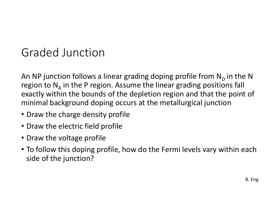#### Graded Junction

An NP junction follows a linear grading doping profile from  $\mathsf{N}_\mathsf{D}$  in the N region to  $N_A$  in the P region. Assume the linear grading positions fall exactly within the bounds of the depletion region and that the point of minimal background doping occurs at the metallurgical junction

- Draw the charge density profile
- Draw the electric field profile
- Draw the voltage profile
- To follow this doping profile, how do the Fermi levels vary within each side of the junction?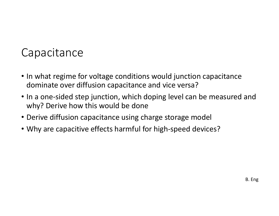#### **Capacitance**

- In what regime for voltage conditions would junction capacitance dominate over diffusion capacitance and vice versa?
- In a one-sided step junction, which doping level can be measured and why? Derive how this would be done
- Derive diffusion capacitance using charge storage model
- Why are capacitive effects harmful for high-speed devices?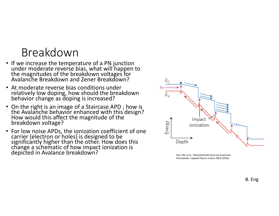## Breakdown

- If we increase the temperature of a PN junction<br>
under moderate reverse bias, what will happen to<br>
the magnitudes of the breakdown voltages for<br>
Avalanche Breakdown and Zener Breakdown?<br>
 At moderate reverse bias condi
- At moderate reverse bias conditions under relatively low doping, how should the breakdown behavior change as doping is increased?
- On the right is an image of a Staircase APD ; how is the Avalanche behavior enhanced with this design?<br>How would this affect the magnitude of the breakdown voltage?
- The method of the breakdown voltages for<br>
the magnitudes of the breakdown voltages for<br>
Art moderate reverse bias, what will happen to<br>
the magnitudes of the breakdown voltages for<br>
Art moderate reverse bias conditions un



Photodiode". Applied Physics Letters 108.8 (2016):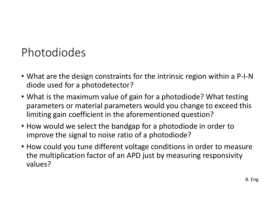## Photodiodes

- What are the design constraints for the intrinsic region within a P-I-N diode used for a photodetector?
- What is the maximum value of gain for a photodiode? What testing parameters or material parameters would you change to exceed this limiting gain coefficient in the aforementioned question? • What are the design constraints for the intrinsic region within a P-I-N<br>
• What are the design constraints for the intrinsic region within a P-I-N<br>
• What is the maximum value of gain for a photodiode? What testing<br>
para
- improve the signal to noise ratio of a photodiode?
- How could you tune different voltage conditions in order to measure the multiplication factor of an APD just by measuring responsivity values?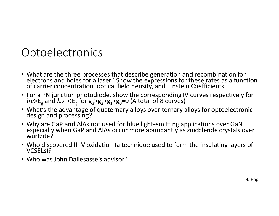#### **Optoelectronics**

- What are the three processes that describe generation and recombination for electrons and holes for a laser? Show the expressions for these rates as a function of carrier concentration, optical field density, and Einstei **Optoelectronics**<br>
• What are the three processes that describe generation and recombination for<br>
electrons and holes for a laser? Show the expressions for these rates as a function<br>
• For a PN junction photodiode, show t **Droclectronics**<br>
What are the three processes that describe generation and recombination for<br>
electrons and holes for a laser? Show the expressions for these rates as a function<br>
of carrier concentration, optical field d
- For a PN junction photodiode, show the corresponding IV curves respectively for  $>E_{\rm g}$  and  $h\nu <$ E $_{\rm g}^{\,}$ for g $_{\rm 3}$ >g $_{\rm 2}$ >g $_{\rm 1}^{\,}$ >g $_{\rm 0}$ =0 (A total of 8 curves)
- What's the advantage of quaternary alloys over ternary alloys for optoelectronic design and processing?
- What are the three processes that describe generation and recombinelectrons and holes for a laser? Show the expressions for these rates<br>of carrier concentration, optical field density, and Einstein Coefficien<br>• For a PN
- Who discovered III-V oxidation (a technique used to form the insulating layers of VCSELs)?
-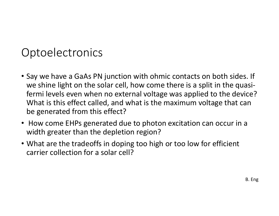#### **Optoelectronics**

- Optoelectronics<br>• Say we have a GaAs PN junction with ohmic contacts on both sides. If<br>• we shine light on the solar cell, how come there is a split in the quasi-<br>• fermi levels even when no external voltage was applied to we shine light on the solar cell, how come there is a split in the quasiptoelectronics<br>Say we have a GaAs PN junction with ohmic contacts on both sides. If<br>we shine light on the solar cell, how come there is a split in the quasi-<br>fermi levels even when no external voltage was applied to the de What is this effect called, and what is the maximum voltage that can be generated from this effect?
- How come EHPs generated due to photon excitation can occur in a width greater than the depletion region?
- What are the tradeoffs in doping too high or too low for efficient carrier collection for a solar cell?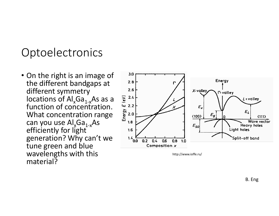#### **Optoelectronics**

• On the right is an image of  $\frac{3.0}{2.8}$ <br>the different bandgaps at  $\frac{2.8}{2.8}$ different symmetry locations of Al<sub>x</sub>Ga<sub>1-x</sub>As as a  $\frac{2}{3}$   $\frac{2.4}{3}$ <br>function of concentration.  $\frac{1}{3}$   $\frac{2.2}{3}$ <br>What concentration range  $\frac{2}{3}$   $\frac{2.0}{3}$ function of concentration. What concentration range can you use  $\text{Al}_x\text{Ga}_{1-x}\text{As}$ efficiently for light generation? Why can't we tune green and blue wavelengths with this material?



http://www.ioffe.ru/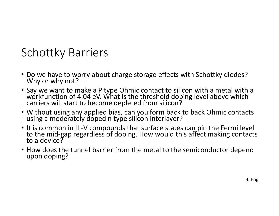- Schottky Barriers<br>• Do we have to worry about charge storage effects v
- Do we have to worry about charge storage effects with Schottky diodes?<br>• Do we have to worry about charge storage effects with Schottky diodes?<br>• Say we want to make a P type Ohmic contact to silicon with a metal with a<br> • Do we have to worry about charge storage effects with Schottky diodes?<br>• Do we have to worry about charge storage effects with Schottky diodes?<br>• Say we want to make a P type Ohmic contact to silicon with a metal with a<br> • Do we have to worry about charge storage effects with Schottky diodes?<br>• Why or why not?<br>• Say we want to make a P type Ohmic contact to silicon with a metal with a workfunction of 4.04 eV. What is the threshold doping l
- 
- It is common in III-V compounds that surface states can pin the Fermi level<br>to the mid-gap regardless of doping. How would this affect making contacts<br>to a device?
- How does the tunnel barrier from the metal to the semiconductor depend upon doping?